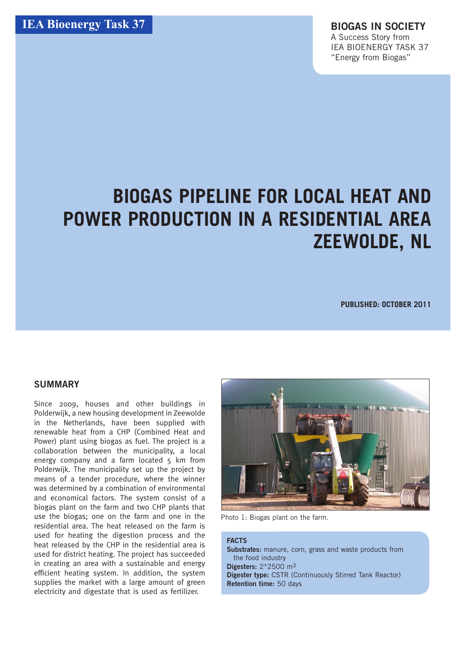# **BIOGAS PIPELINE FOR LOCAL HEAT AND POWER PRODUCTION IN A RESIDENTIAL AREA Zeewolde, NL**

**Published: October 2011**

### **SUMMARY**

Since 2009, houses and other buildings in Polderwijk, a new housing development in Zeewolde in the Netherlands, have been supplied with renewable heat from a CHP (Combined Heat and Power) plant using biogas as fuel. The project is a collaboration between the municipality, a local energy company and a farm located  $5 \text{ km}$  from Polderwijk. The municipality set up the project by means of a tender procedure, where the winner was determined by a combination of environmental and economical factors. The system consist of a biogas plant on the farm and two CHP plants that use the biogas; one on the farm and one in the residential area. The heat released on the farm is used for heating the digestion process and the heat released by the CHP in the residential area is used for district heating. The project has succeeded in creating an area with a sustainable and energy efficient heating system. In addition, the system supplies the market with a large amount of green electricity and digestate that is used as fertilizer.



Photo 1: Biogas plant on the farm.

#### **FACTS**

**Substrates:** manure, corn, grass and waste products from the food industry **Digesters:** 2\*2500 m3 **Digester type:** CSTR (Continuously Stirred Tank Reactor) **Retention time:** 50 days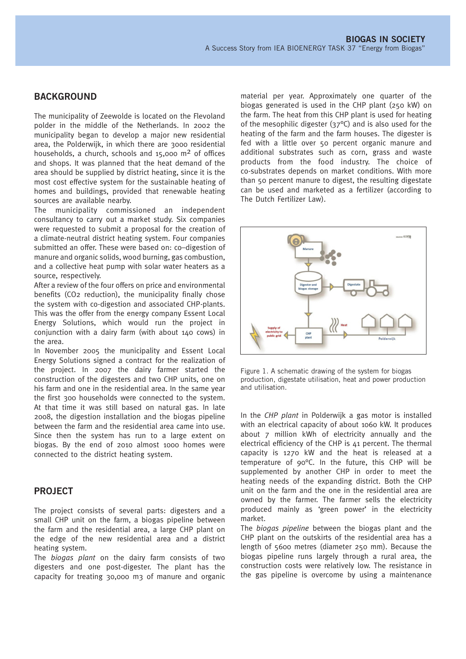#### **BACKGROUND**

The municipality of Zeewolde is located on the Flevoland polder in the middle of the Netherlands. In 2002 the municipality began to develop a major new residential area, the Polderwijk, in which there are 3000 residential households, a church, schools and  $15,000 \text{ m}^2$  of offices and shops. It was planned that the heat demand of the area should be supplied by district heating, since it is the most cost effective system for the sustainable heating of homes and buildings, provided that renewable heating sources are available nearby.

The municipality commissioned an independent consultancy to carry out a market study. Six companies were requested to submit a proposal for the creation of a climate-neutral district heating system. Four companies submitted an offer. These were based on: co–digestion of manure and organic solids, wood burning, gas combustion, and a collective heat pump with solar water heaters as a source, respectively.

After a review of the four offers on price and environmental benefits (CO2 reduction), the municipality finally chose the system with co-digestion and associated CHP-plants. This was the offer from the energy company Essent Local Energy Solutions, which would run the project in conjunction with a dairy farm (with about 140 cows) in the area.

In November 2005 the municipality and Essent Local Energy Solutions signed a contract for the realization of the project. In 2007 the dairy farmer started the construction of the digesters and two CHP units, one on his farm and one in the residential area. In the same year the first 300 households were connected to the system. At that time it was still based on natural gas. In late 2008, the digestion installation and the biogas pipeline between the farm and the residential area came into use. Since then the system has run to a large extent on biogas. By the end of 2010 almost 1000 homes were connected to the district heating system.

#### **PROJECT**

The project consists of several parts: digesters and a small CHP unit on the farm, a biogas pipeline between the farm and the residential area, a large CHP plant on the edge of the new residential area and a district heating system.

The *biogas plant* on the dairy farm consists of two digesters and one post-digester. The plant has the capacity for treating 30,000 m3 of manure and organic material per year. Approximately one quarter of the biogas generated is used in the CHP plant (250 kW) on the farm. The heat from this CHP plant is used for heating of the mesophilic digester (37°C) and is also used for the heating of the farm and the farm houses. The digester is fed with a little over 50 percent organic manure and additional substrates such as corn, grass and waste products from the food industry. The choice of co-substrates depends on market conditions. With more than 50 percent manure to digest, the resulting digestate can be used and marketed as a fertilizer (according to The Dutch Fertilizer Law).



Figure 1. A schematic drawing of the system for biogas production, digestate utilisation, heat and power production and utilisation.

In the *CHP plant* in Polderwijk a gas motor is installed with an electrical capacity of about 1060 kW. It produces about 7 million kWh of electricity annually and the electrical efficiency of the CHP is  $41$  percent. The thermal capacity is 1270 kW and the heat is released at a temperature of 90°C. In the future, this CHP will be supplemented by another CHP in order to meet the heating needs of the expanding district. Both the CHP unit on the farm and the one in the residential area are owned by the farmer. The farmer sells the electricity produced mainly as 'green power' in the electricity market.

The *biogas pipeline* between the biogas plant and the CHP plant on the outskirts of the residential area has a length of 5600 metres (diameter 250 mm). Because the biogas pipeline runs largely through a rural area, the construction costs were relatively low. The resistance in the gas pipeline is overcome by using a maintenance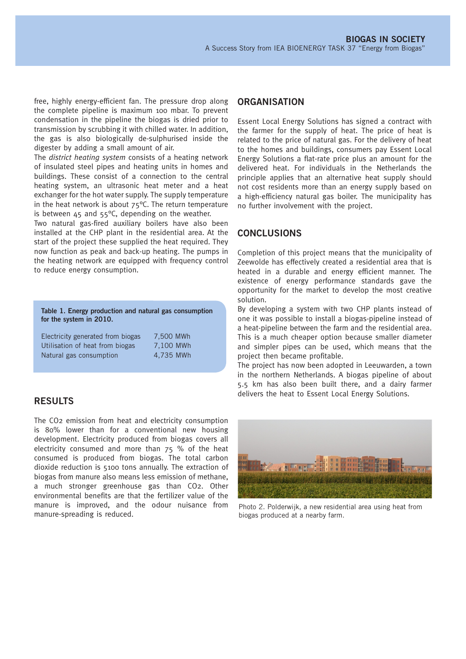free, highly energy-efficient fan. The pressure drop along the complete pipeline is maximum 100 mbar. To prevent condensation in the pipeline the biogas is dried prior to transmission by scrubbing it with chilled water. In addition, the gas is also biologically de-sulphurised inside the digester by adding a small amount of air.

The *district heating system* consists of a heating network of insulated steel pipes and heating units in homes and buildings. These consist of a connection to the central heating system, an ultrasonic heat meter and a heat exchanger for the hot water supply. The supply temperature in the heat network is about  $75^{\circ}$ C. The return temperature is between  $45$  and  $55^{\circ}$ C, depending on the weather.

Two natural gas-fired auxiliary boilers have also been installed at the CHP plant in the residential area. At the start of the project these supplied the heat required. They now function as peak and back-up heating. The pumps in the heating network are equipped with frequency control to reduce energy consumption.

| Table 1. Energy production and natural gas consumption<br>for the system in 2010. |           |
|-----------------------------------------------------------------------------------|-----------|
| Electricity generated from biogas                                                 | 7.500 MWh |

| LICCUTCILY SCHICIALCO HUIH DIUSAS | $7.000$ ivevel |
|-----------------------------------|----------------|
| Utilisation of heat from biogas   | 7,100 MWh      |
| Natural gas consumption           | 4.735 MWh      |

## **RESULTS**

The CO2 emission from heat and electricity consumption is 80% lower than for a conventional new housing development. Electricity produced from biogas covers all electricity consumed and more than 75 % of the heat consumed is produced from biogas. The total carbon dioxide reduction is 5100 tons annually. The extraction of biogas from manure also means less emission of methane, a much stronger greenhouse gas than CO2. Other environmental benefits are that the fertilizer value of the manure is improved, and the odour nuisance from manure-spreading is reduced.

#### **ORGANISATION**

Essent Local Energy Solutions has signed a contract with the farmer for the supply of heat. The price of heat is related to the price of natural gas. For the delivery of heat to the homes and buildings, consumers pay Essent Local Energy Solutions a flat-rate price plus an amount for the delivered heat. For individuals in the Netherlands the principle applies that an alternative heat supply should not cost residents more than an energy supply based on a high-efficiency natural gas boiler. The municipality has no further involvement with the project.

### **CONCLUSIONS**

Completion of this project means that the municipality of Zeewolde has effectively created a residential area that is heated in a durable and energy efficient manner. The existence of energy performance standards gave the opportunity for the market to develop the most creative solution.

By developing a system with two CHP plants instead of one it was possible to install a biogas-pipeline instead of a heat-pipeline between the farm and the residential area. This is a much cheaper option because smaller diameter and simpler pipes can be used, which means that the project then became profitable.

The project has now been adopted in Leeuwarden, a town in the northern Netherlands. A biogas pipeline of about 5.5 km has also been built there, and a dairy farmer delivers the heat to Essent Local Energy Solutions.



Photo 2. Polderwijk, a new residential area using heat from biogas produced at a nearby farm.